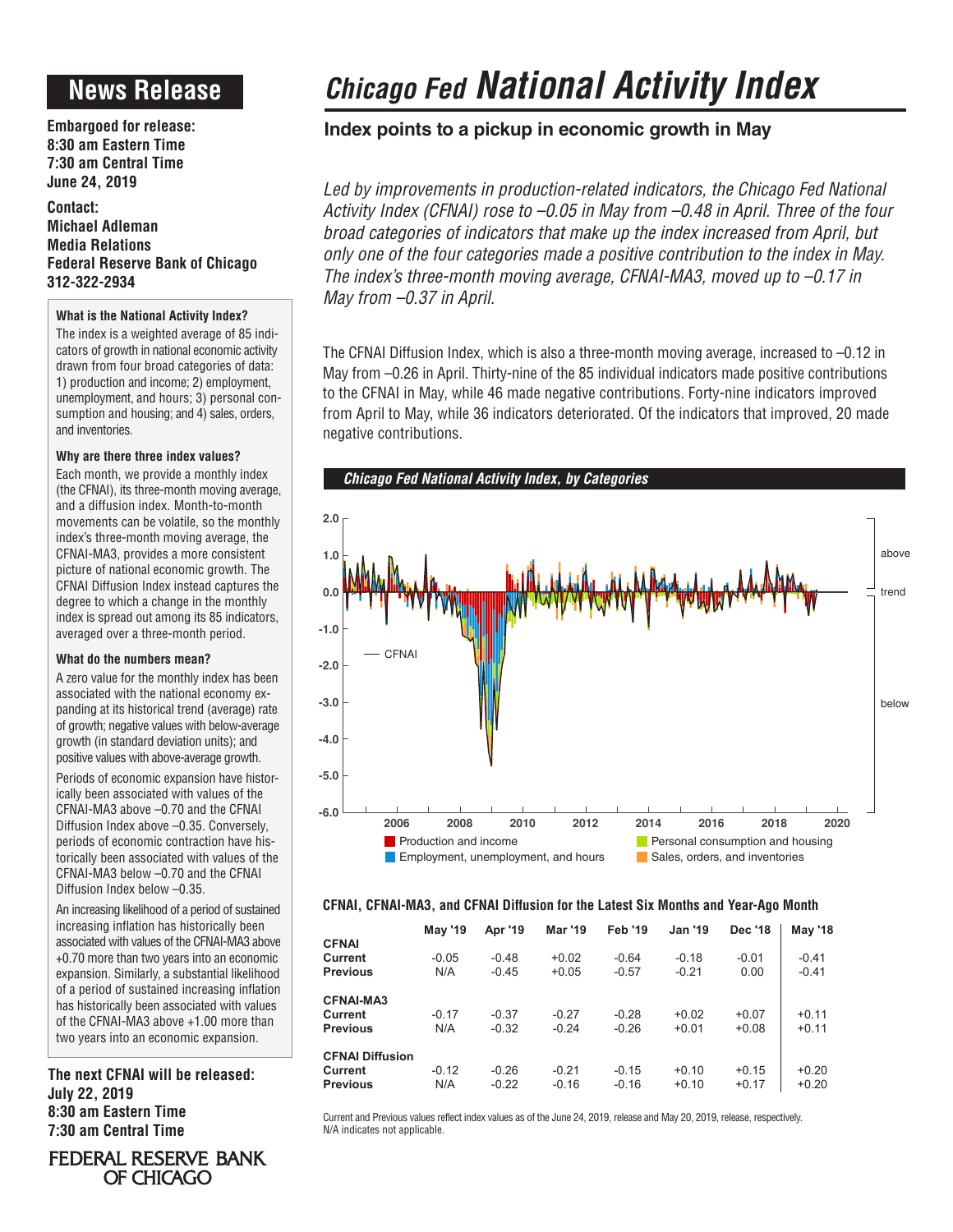# **News Release**

**Embargoed for release: 8:30 am Eastern Time 7:30 am Central Time June 24, 2019**

**Contact: Michael Adleman Media Relations Federal Reserve Bank of Chicago 312-322-2934**

# **What is the National Activity Index?**

The index is a weighted average of 85 indicators of growth in national economic activity drawn from four broad categories of data: 1) production and income; 2) employment, unemployment, and hours; 3) personal consumption and housing; and 4) sales, orders, and inventories.

# **Why are there three index values?**

Each month, we provide a monthly index (the CFNAI), its three-month moving average, and a diffusion index. Month-to-month movements can be volatile, so the monthly index's three-month moving average, the CFNAI-MA3, provides a more consistent picture of national economic growth. The CFNAI Diffusion Index instead captures the degree to which a change in the monthly index is spread out among its 85 indicators, averaged over a three-month period.

### **What do the numbers mean?**

A zero value for the monthly index has been associated with the national economy expanding at its historical trend (average) rate of growth; negative values with below-average growth (in standard deviation units); and positive values with above-average growth.

Periods of economic expansion have historically been associated with values of the CFNAI-MA3 above –0.70 and the CFNAI Diffusion Index above –0.35. Conversely, periods of economic contraction have historically been associated with values of the CFNAI-MA3 below –0.70 and the CFNAI Diffusion Index below –0.35.

An increasing likelihood of a period of sustained increasing inflation has historically been associated with values of the CFNAI-MA3 above +0.70 more than two years into an economic expansion. Similarly, a substantial likelihood of a period of sustained increasing inflation has historically been associated with values of the CFNAI-MA3 above +1.00 more than two years into an economic expansion.

**The next CFNAI will be released: July 22, 2019 8:30 am Eastern Time 7:30 am Central Time**

# *Chicago Fed National Activity Index*

# **Index points to a pickup in economic growth in May**

Led by improvements in production-related indicators, the Chicago Fed National *Activity Index (CFNAI) rose to –0.05 in May from –0.48 in April. Three of the four broad categories of indicators that make up the index increased from April, but only one of the four categories made a positive contribution to the index in May. The index's three-month moving average, CFNAI-MA3, moved up to –0.17 in May from –0.37 in April.*

The CFNAI Diffusion Index, which is also a three-month moving average, increased to –0.12 in May from –0.26 in April. Thirty-nine of the 85 individual indicators made positive contributions to the CFNAI in May, while 46 made negative contributions. Forty-nine indicators improved from April to May, while 36 indicators deteriorated. Of the indicators that improved, 20 made negative contributions.



# **CFNAI, CFNAI-MA3, and CFNAI Diffusion for the Latest Six Months and Year-Ago Month**

|                            | <b>May '19</b> | Apr '19            | <b>Mar '19</b>     | <b>Feb '19</b>     | <b>Jan '19</b>     | <b>Dec '18</b>     | <b>May '18</b>     |
|----------------------------|----------------|--------------------|--------------------|--------------------|--------------------|--------------------|--------------------|
| <b>CFNAI</b>               |                |                    |                    |                    |                    |                    |                    |
| Current                    | $-0.05$        | $-0.48$            | $+0.02$            | $-0.64$            | $-0.18$            | $-0.01$            | $-0.41$            |
| <b>Previous</b>            | N/A            | $-0.45$            | $+0.05$            | $-0.57$            | $-0.21$            | 0.00               | $-0.41$            |
| <b>CFNAI-MA3</b>           |                |                    |                    |                    |                    |                    |                    |
| Current                    | $-0.17$        | $-0.37$            | $-0.27$            | $-0.28$            | $+0.02$            | $+0.07$            | $+0.11$            |
| <b>Previous</b>            | N/A            | $-0.32$            | $-0.24$            | $-0.26$            | $+0.01$            | $+0.08$            | $+0.11$            |
| <b>CFNAI Diffusion</b>     |                |                    |                    |                    |                    |                    |                    |
| Current<br><b>Previous</b> | $-0.12$<br>N/A | $-0.26$<br>$-0.22$ | $-0.21$<br>$-0.16$ | $-0.15$<br>$-0.16$ | $+0.10$<br>$+0.10$ | $+0.15$<br>$+0.17$ | $+0.20$<br>$+0.20$ |
|                            |                |                    |                    |                    |                    |                    |                    |

Current and Previous values reflect index values as of the June 24, 2019, release and May 20, 2019, release, respectively. N/A indicates not applicable.